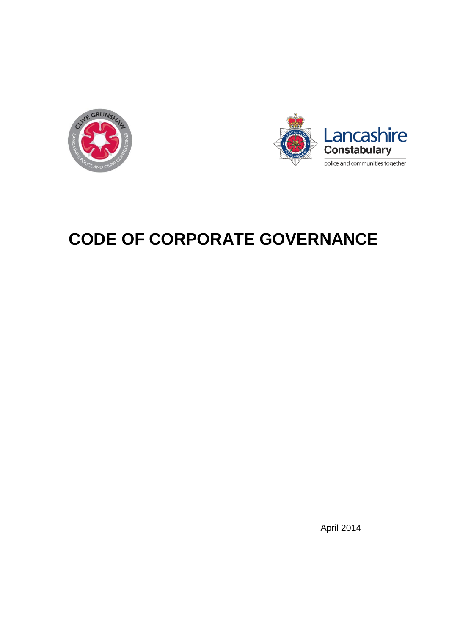



# **CODE OF CORPORATE GOVERNANCE**

April 2014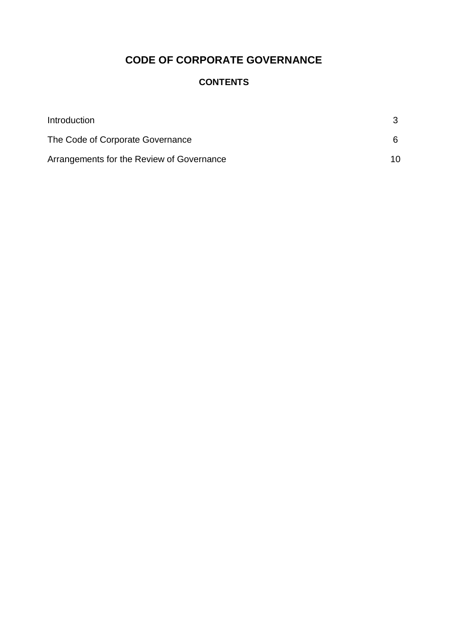# **CODE OF CORPORATE GOVERNANCE**

# **CONTENTS**

| Introduction                              |    |  |
|-------------------------------------------|----|--|
| The Code of Corporate Governance          | 6. |  |
| Arrangements for the Review of Governance | 10 |  |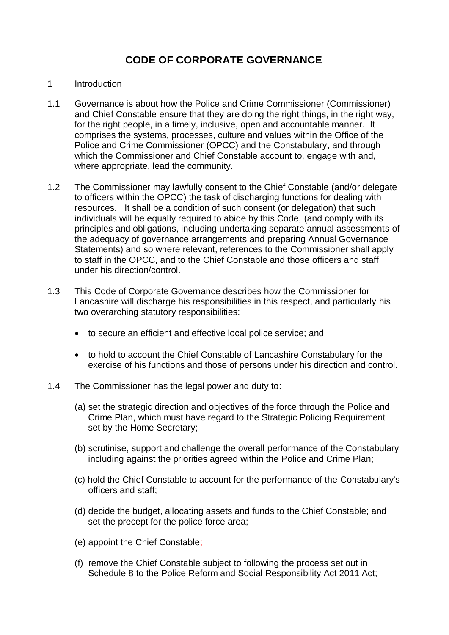# **CODE OF CORPORATE GOVERNANCE**

#### <span id="page-2-0"></span>1 Introduction

- 1.1 Governance is about how the Police and Crime Commissioner (Commissioner) and Chief Constable ensure that they are doing the right things, in the right way, for the right people, in a timely, inclusive, open and accountable manner. It comprises the systems, processes, culture and values within the Office of the Police and Crime Commissioner (OPCC) and the Constabulary, and through which the Commissioner and Chief Constable account to, engage with and, where appropriate, lead the community.
- 1.2 The Commissioner may lawfully consent to the Chief Constable (and/or delegate to officers within the OPCC) the task of discharging functions for dealing with resources. It shall be a condition of such consent (or delegation) that such individuals will be equally required to abide by this Code, (and comply with its principles and obligations, including undertaking separate annual assessments of the adequacy of governance arrangements and preparing Annual Governance Statements) and so where relevant, references to the Commissioner shall apply to staff in the OPCC, and to the Chief Constable and those officers and staff under his direction/control.
- 1.3 This Code of Corporate Governance describes how the Commissioner for Lancashire will discharge his responsibilities in this respect, and particularly his two overarching statutory responsibilities:
	- to secure an efficient and effective local police service; and
	- to hold to account the Chief Constable of Lancashire Constabulary for the exercise of his functions and those of persons under his direction and control.
- 1.4 The Commissioner has the legal power and duty to:
	- (a) set the strategic direction and objectives of the force through the Police and Crime Plan, which must have regard to the Strategic Policing Requirement set by the Home Secretary;
	- (b) scrutinise, support and challenge the overall performance of the Constabulary including against the priorities agreed within the Police and Crime Plan;
	- (c) hold the Chief Constable to account for the performance of the Constabulary's officers and staff;
	- (d) decide the budget, allocating assets and funds to the Chief Constable; and set the precept for the police force area;
	- (e) appoint the Chief Constable;
	- (f) remove the Chief Constable subject to following the process set out in Schedule 8 to the Police Reform and Social Responsibility Act 2011 Act: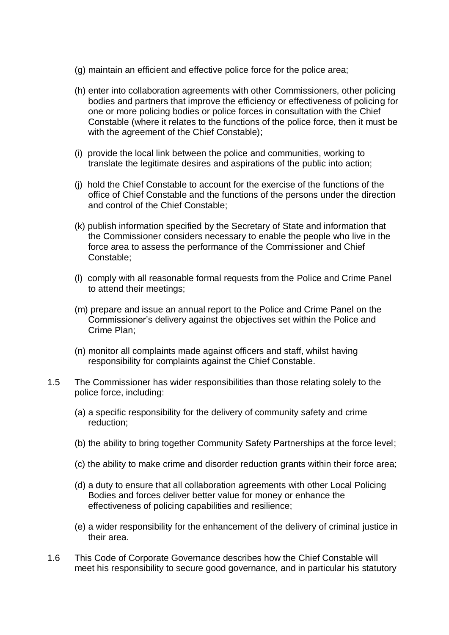- (g) maintain an efficient and effective police force for the police area;
- (h) enter into collaboration agreements with other Commissioners, other policing bodies and partners that improve the efficiency or effectiveness of policing for one or more policing bodies or police forces in consultation with the Chief Constable (where it relates to the functions of the police force, then it must be with the agreement of the Chief Constable);
- (i) provide the local link between the police and communities, working to translate the legitimate desires and aspirations of the public into action;
- (j) hold the Chief Constable to account for the exercise of the functions of the office of Chief Constable and the functions of the persons under the direction and control of the Chief Constable;
- (k) publish information specified by the Secretary of State and information that the Commissioner considers necessary to enable the people who live in the force area to assess the performance of the Commissioner and Chief Constable;
- (l) comply with all reasonable formal requests from the Police and Crime Panel to attend their meetings;
- (m) prepare and issue an annual report to the Police and Crime Panel on the Commissioner's delivery against the objectives set within the Police and Crime Plan;
- (n) monitor all complaints made against officers and staff, whilst having responsibility for complaints against the Chief Constable.
- 1.5 The Commissioner has wider responsibilities than those relating solely to the police force, including:
	- (a) a specific responsibility for the delivery of community safety and crime reduction;
	- (b) the ability to bring together Community Safety Partnerships at the force level;
	- (c) the ability to make crime and disorder reduction grants within their force area;
	- (d) a duty to ensure that all collaboration agreements with other Local Policing Bodies and forces deliver better value for money or enhance the effectiveness of policing capabilities and resilience;
	- (e) a wider responsibility for the enhancement of the delivery of criminal justice in their area.
- 1.6 This Code of Corporate Governance describes how the Chief Constable will meet his responsibility to secure good governance, and in particular his statutory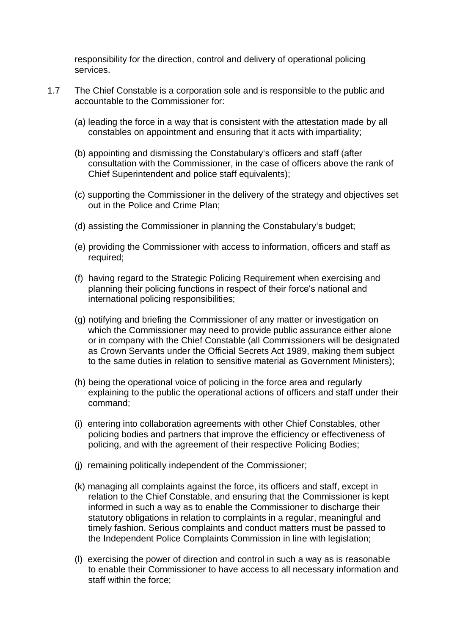responsibility for the direction, control and delivery of operational policing services.

- 1.7 The Chief Constable is a corporation sole and is responsible to the public and accountable to the Commissioner for:
	- (a) leading the force in a way that is consistent with the attestation made by all constables on appointment and ensuring that it acts with impartiality;
	- (b) appointing and dismissing the Constabulary's officers and staff (after consultation with the Commissioner, in the case of officers above the rank of Chief Superintendent and police staff equivalents);
	- (c) supporting the Commissioner in the delivery of the strategy and objectives set out in the Police and Crime Plan;
	- (d) assisting the Commissioner in planning the Constabulary's budget;
	- (e) providing the Commissioner with access to information, officers and staff as required;
	- (f) having regard to the Strategic Policing Requirement when exercising and planning their policing functions in respect of their force's national and international policing responsibilities;
	- (g) notifying and briefing the Commissioner of any matter or investigation on which the Commissioner may need to provide public assurance either alone or in company with the Chief Constable (all Commissioners will be designated as Crown Servants under the Official Secrets Act 1989, making them subject to the same duties in relation to sensitive material as Government Ministers);
	- (h) being the operational voice of policing in the force area and regularly explaining to the public the operational actions of officers and staff under their command;
	- (i) entering into collaboration agreements with other Chief Constables, other policing bodies and partners that improve the efficiency or effectiveness of policing, and with the agreement of their respective Policing Bodies;
	- (j) remaining politically independent of the Commissioner;
	- (k) managing all complaints against the force, its officers and staff, except in relation to the Chief Constable, and ensuring that the Commissioner is kept informed in such a way as to enable the Commissioner to discharge their statutory obligations in relation to complaints in a regular, meaningful and timely fashion. Serious complaints and conduct matters must be passed to the Independent Police Complaints Commission in line with legislation;
	- (l) exercising the power of direction and control in such a way as is reasonable to enable their Commissioner to have access to all necessary information and staff within the force;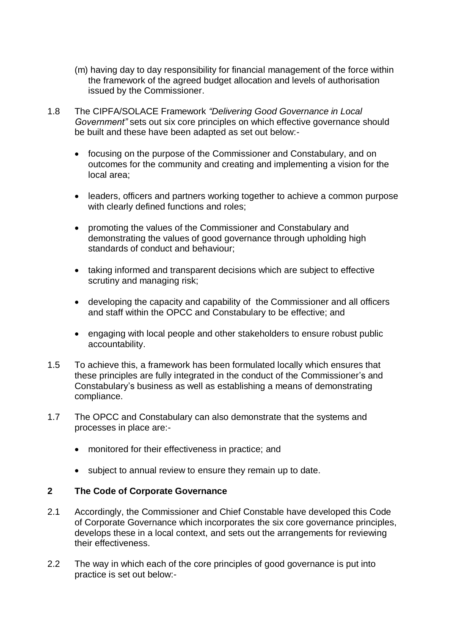- (m) having day to day responsibility for financial management of the force within the framework of the agreed budget allocation and levels of authorisation issued by the Commissioner.
- 1.8 The CIPFA/SOLACE Framework *"Delivering Good Governance in Local Government"* sets out six core principles on which effective governance should be built and these have been adapted as set out below:
	- focusing on the purpose of the Commissioner and Constabulary, and on outcomes for the community and creating and implementing a vision for the local area;
	- leaders, officers and partners working together to achieve a common purpose with clearly defined functions and roles;
	- promoting the values of the Commissioner and Constabulary and demonstrating the values of good governance through upholding high standards of conduct and behaviour;
	- taking informed and transparent decisions which are subject to effective scrutiny and managing risk;
	- developing the capacity and capability of the Commissioner and all officers and staff within the OPCC and Constabulary to be effective; and
	- engaging with local people and other stakeholders to ensure robust public accountability.
- 1.5 To achieve this, a framework has been formulated locally which ensures that these principles are fully integrated in the conduct of the Commissioner's and Constabulary's business as well as establishing a means of demonstrating compliance.
- 1.7 The OPCC and Constabulary can also demonstrate that the systems and processes in place are:
	- monitored for their effectiveness in practice; and
	- subject to annual review to ensure they remain up to date.

## <span id="page-5-0"></span>**2 The Code of Corporate Governance**

- 2.1 Accordingly, the Commissioner and Chief Constable have developed this Code of Corporate Governance which incorporates the six core governance principles, develops these in a local context, and sets out the arrangements for reviewing their effectiveness.
- 2.2 The way in which each of the core principles of good governance is put into practice is set out below:-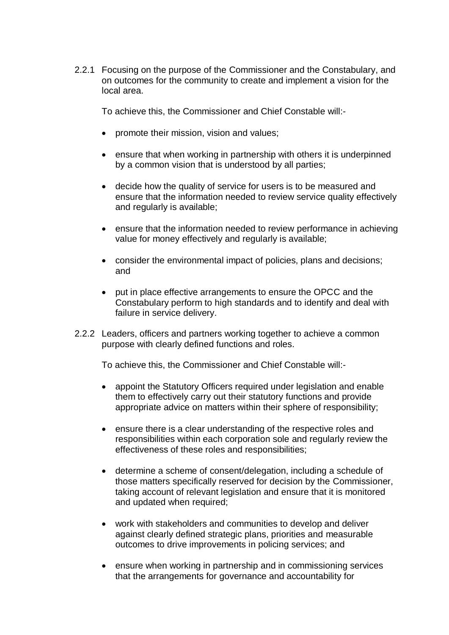2.2.1 Focusing on the purpose of the Commissioner and the Constabulary, and on outcomes for the community to create and implement a vision for the local area.

To achieve this, the Commissioner and Chief Constable will:-

- promote their mission, vision and values;
- ensure that when working in partnership with others it is underpinned by a common vision that is understood by all parties;
- decide how the quality of service for users is to be measured and ensure that the information needed to review service quality effectively and regularly is available;
- ensure that the information needed to review performance in achieving value for money effectively and regularly is available;
- consider the environmental impact of policies, plans and decisions; and
- put in place effective arrangements to ensure the OPCC and the Constabulary perform to high standards and to identify and deal with failure in service delivery.
- 2.2.2 Leaders, officers and partners working together to achieve a common purpose with clearly defined functions and roles.

To achieve this, the Commissioner and Chief Constable will:-

- appoint the Statutory Officers required under legislation and enable them to effectively carry out their statutory functions and provide appropriate advice on matters within their sphere of responsibility;
- ensure there is a clear understanding of the respective roles and responsibilities within each corporation sole and regularly review the effectiveness of these roles and responsibilities;
- determine a scheme of consent/delegation, including a schedule of those matters specifically reserved for decision by the Commissioner, taking account of relevant legislation and ensure that it is monitored and updated when required;
- work with stakeholders and communities to develop and deliver against clearly defined strategic plans, priorities and measurable outcomes to drive improvements in policing services; and
- ensure when working in partnership and in commissioning services that the arrangements for governance and accountability for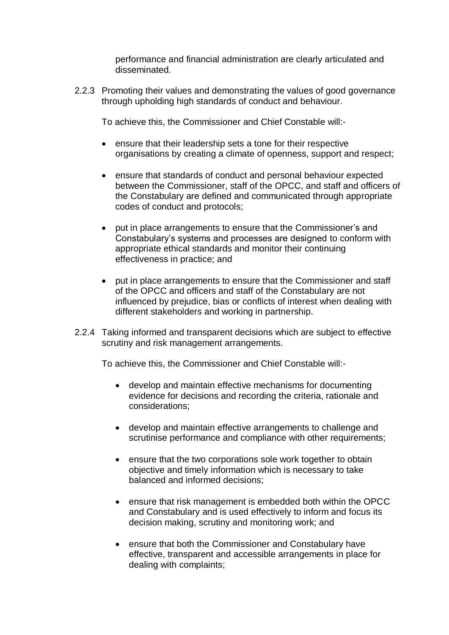performance and financial administration are clearly articulated and disseminated.

2.2.3 Promoting their values and demonstrating the values of good governance through upholding high standards of conduct and behaviour.

To achieve this, the Commissioner and Chief Constable will:-

- ensure that their leadership sets a tone for their respective organisations by creating a climate of openness, support and respect;
- ensure that standards of conduct and personal behaviour expected between the Commissioner, staff of the OPCC, and staff and officers of the Constabulary are defined and communicated through appropriate codes of conduct and protocols;
- put in place arrangements to ensure that the Commissioner's and Constabulary's systems and processes are designed to conform with appropriate ethical standards and monitor their continuing effectiveness in practice; and
- put in place arrangements to ensure that the Commissioner and staff of the OPCC and officers and staff of the Constabulary are not influenced by prejudice, bias or conflicts of interest when dealing with different stakeholders and working in partnership.
- 2.2.4 Taking informed and transparent decisions which are subject to effective scrutiny and risk management arrangements.

To achieve this, the Commissioner and Chief Constable will:-

- develop and maintain effective mechanisms for documenting evidence for decisions and recording the criteria, rationale and considerations;
- develop and maintain effective arrangements to challenge and scrutinise performance and compliance with other requirements;
- ensure that the two corporations sole work together to obtain objective and timely information which is necessary to take balanced and informed decisions;
- ensure that risk management is embedded both within the OPCC and Constabulary and is used effectively to inform and focus its decision making, scrutiny and monitoring work; and
- ensure that both the Commissioner and Constabulary have effective, transparent and accessible arrangements in place for dealing with complaints;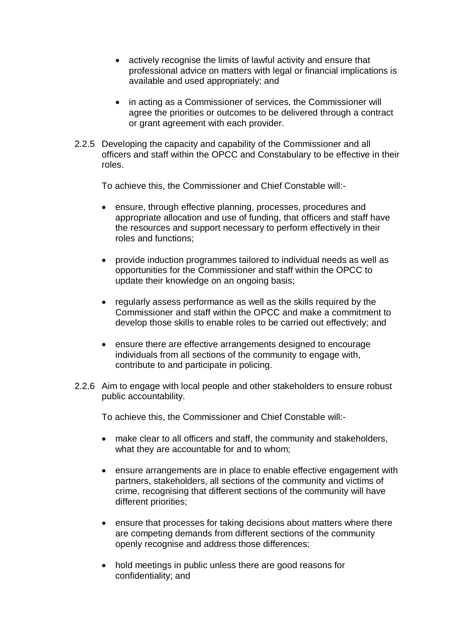- actively recognise the limits of lawful activity and ensure that professional advice on matters with legal or financial implications is available and used appropriately; and
- in acting as a Commissioner of services, the Commissioner will agree the priorities or outcomes to be delivered through a contract or grant agreement with each provider.
- 2.2.5 Developing the capacity and capability of the Commissioner and all officers and staff within the OPCC and Constabulary to be effective in their roles.

To achieve this, the Commissioner and Chief Constable will:-

- ensure, through effective planning, processes, procedures and appropriate allocation and use of funding, that officers and staff have the resources and support necessary to perform effectively in their roles and functions;
- provide induction programmes tailored to individual needs as well as opportunities for the Commissioner and staff within the OPCC to update their knowledge on an ongoing basis;
- regularly assess performance as well as the skills required by the Commissioner and staff within the OPCC and make a commitment to develop those skills to enable roles to be carried out effectively; and
- ensure there are effective arrangements designed to encourage individuals from all sections of the community to engage with, contribute to and participate in policing.
- 2.2.6 Aim to engage with local people and other stakeholders to ensure robust public accountability.

To achieve this, the Commissioner and Chief Constable will:-

- make clear to all officers and staff, the community and stakeholders, what they are accountable for and to whom;
- ensure arrangements are in place to enable effective engagement with partners, stakeholders, all sections of the community and victims of crime, recognising that different sections of the community will have different priorities;
- ensure that processes for taking decisions about matters where there are competing demands from different sections of the community openly recognise and address those differences;
- hold meetings in public unless there are good reasons for confidentiality; and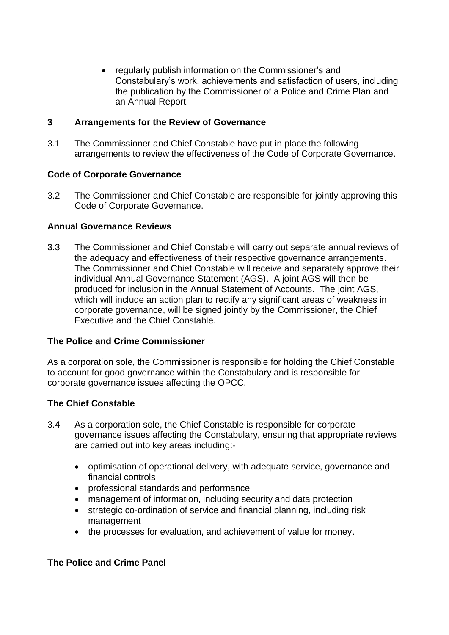regularly publish information on the Commissioner's and Constabulary's work, achievements and satisfaction of users, including the publication by the Commissioner of a Police and Crime Plan and an Annual Report.

#### <span id="page-9-0"></span>**3 Arrangements for the Review of Governance**

3.1 The Commissioner and Chief Constable have put in place the following arrangements to review the effectiveness of the Code of Corporate Governance.

#### **Code of Corporate Governance**

3.2 The Commissioner and Chief Constable are responsible for jointly approving this Code of Corporate Governance.

#### **Annual Governance Reviews**

3.3 The Commissioner and Chief Constable will carry out separate annual reviews of the adequacy and effectiveness of their respective governance arrangements. The Commissioner and Chief Constable will receive and separately approve their individual Annual Governance Statement (AGS). A joint AGS will then be produced for inclusion in the Annual Statement of Accounts. The joint AGS, which will include an action plan to rectify any significant areas of weakness in corporate governance, will be signed jointly by the Commissioner, the Chief Executive and the Chief Constable.

#### **The Police and Crime Commissioner**

As a corporation sole, the Commissioner is responsible for holding the Chief Constable to account for good governance within the Constabulary and is responsible for corporate governance issues affecting the OPCC.

#### **The Chief Constable**

- 3.4 As a corporation sole, the Chief Constable is responsible for corporate governance issues affecting the Constabulary, ensuring that appropriate reviews are carried out into key areas including:
	- optimisation of operational delivery, with adequate service, governance and financial controls
	- professional standards and performance
	- management of information, including security and data protection
	- strategic co-ordination of service and financial planning, including risk management
	- the processes for evaluation, and achievement of value for money.

# **The Police and Crime Panel**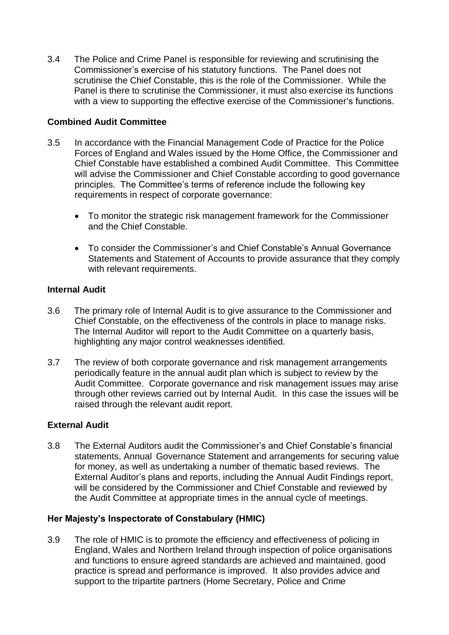3.4 The Police and Crime Panel is responsible for reviewing and scrutinising the Commissioner's exercise of his statutory functions. The Panel does not scrutinise the Chief Constable, this is the role of the Commissioner. While the Panel is there to scrutinise the Commissioner, it must also exercise its functions with a view to supporting the effective exercise of the Commissioner's functions.

## **Combined Audit Committee**

- 3.5 In accordance with the Financial Management Code of Practice for the Police Forces of England and Wales issued by the Home Office, the Commissioner and Chief Constable have established a combined Audit Committee. This Committee will advise the Commissioner and Chief Constable according to good governance principles. The Committee's terms of reference include the following key requirements in respect of corporate governance:
	- To monitor the strategic risk management framework for the Commissioner and the Chief Constable.
	- To consider the Commissioner's and Chief Constable's Annual Governance Statements and Statement of Accounts to provide assurance that they comply with relevant requirements.

#### **Internal Audit**

- 3.6 The primary role of Internal Audit is to give assurance to the Commissioner and Chief Constable, on the effectiveness of the controls in place to manage risks. The Internal Auditor will report to the Audit Committee on a quarterly basis, highlighting any major control weaknesses identified.
- 3.7 The review of both corporate governance and risk management arrangements periodically feature in the annual audit plan which is subject to review by the Audit Committee. Corporate governance and risk management issues may arise through other reviews carried out by Internal Audit. In this case the issues will be raised through the relevant audit report.

#### **External Audit**

3.8 The External Auditors audit the Commissioner's and Chief Constable's financial statements, Annual Governance Statement and arrangements for securing value for money, as well as undertaking a number of thematic based reviews. The External Auditor's plans and reports, including the Annual Audit Findings report, will be considered by the Commissioner and Chief Constable and reviewed by the Audit Committee at appropriate times in the annual cycle of meetings.

# **Her Majesty's Inspectorate of Constabulary (HMIC)**

3.9 The role of HMIC is to promote the efficiency and effectiveness of policing in England, Wales and Northern Ireland through inspection of police organisations and functions to ensure agreed standards are achieved and maintained, good practice is spread and performance is improved. It also provides advice and support to the tripartite partners (Home Secretary, Police and Crime